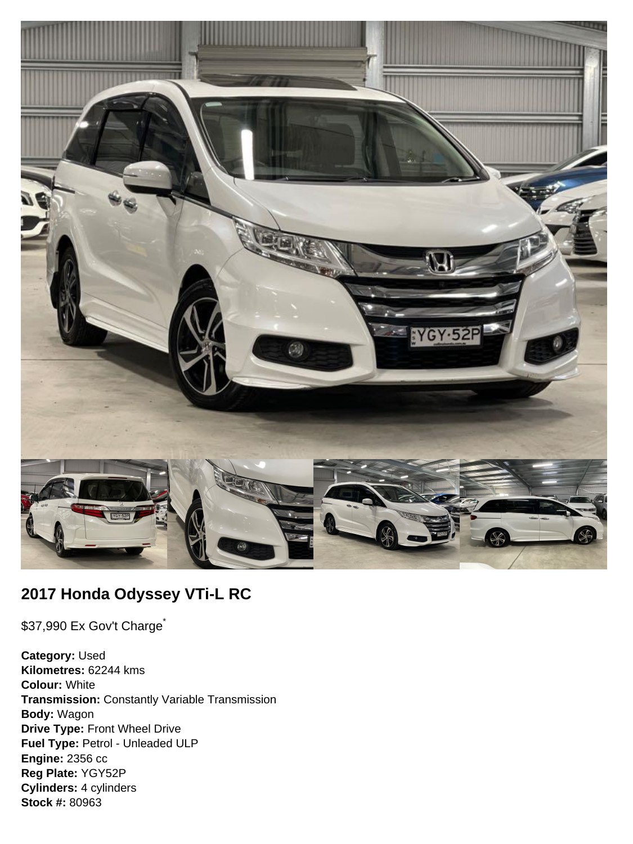

# **2017 Honda Odyssey VTi-L RC**

\$37,990 Ex Gov't Charge<sup>\*</sup>

**Category:** Used **Kilometres:** 62244 kms **Colour:** White **Transmission:** Constantly Variable Transmission **Body:** Wagon **Drive Type:** Front Wheel Drive **Fuel Type:** Petrol - Unleaded ULP **Engine:** 2356 cc **Reg Plate:** YGY52P **Cylinders:** 4 cylinders **Stock #:** 80963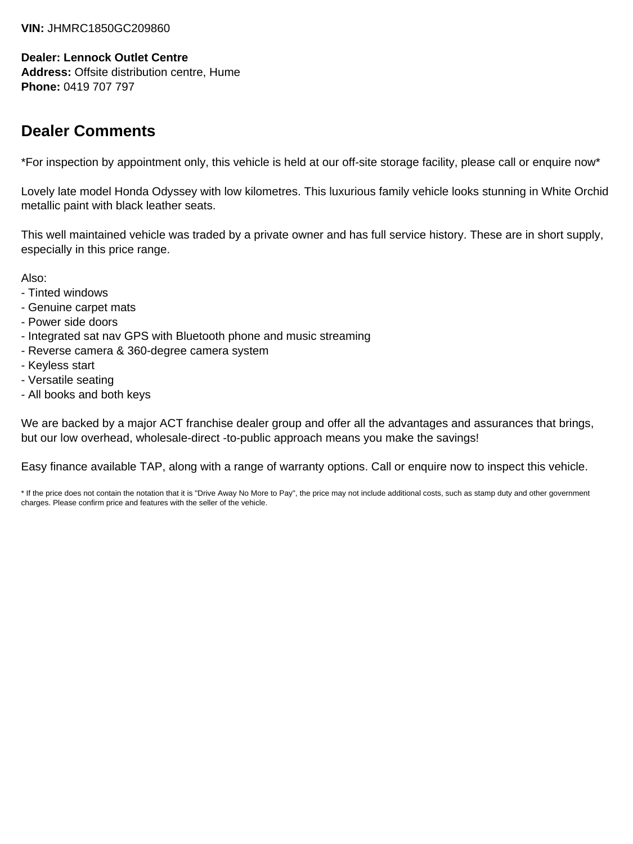#### **VIN:** JHMRC1850GC209860

#### **Dealer: Lennock Outlet Centre**

**Address:** Offsite distribution centre, Hume **Phone:** 0419 707 797

# **Dealer Comments**

\*For inspection by appointment only, this vehicle is held at our off-site storage facility, please call or enquire now\*

Lovely late model Honda Odyssey with low kilometres. This luxurious family vehicle looks stunning in White Orchid metallic paint with black leather seats.

This well maintained vehicle was traded by a private owner and has full service history. These are in short supply, especially in this price range.

Also:

- Tinted windows
- Genuine carpet mats
- Power side doors
- Integrated sat nav GPS with Bluetooth phone and music streaming
- Reverse camera & 360-degree camera system
- Keyless start
- Versatile seating
- All books and both keys

We are backed by a major ACT franchise dealer group and offer all the advantages and assurances that brings, but our low overhead, wholesale-direct -to-public approach means you make the savings!

Easy finance available TAP, along with a range of warranty options. Call or enquire now to inspect this vehicle.

\* If the price does not contain the notation that it is "Drive Away No More to Pay", the price may not include additional costs, such as stamp duty and other government charges. Please confirm price and features with the seller of the vehicle.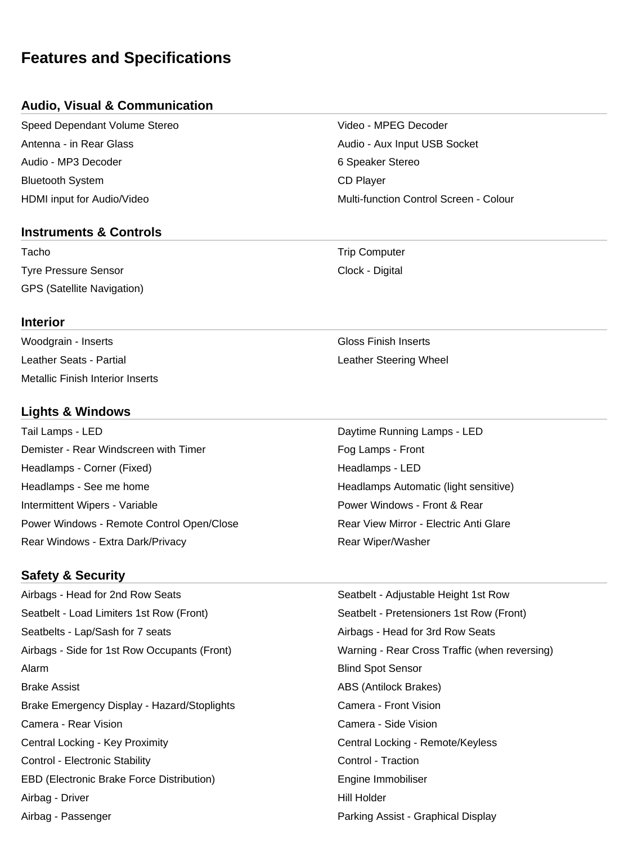# **Features and Specifications**

### **Audio, Visual & Communication**

Speed Dependant Volume Stereo Video - MPEG Decoder Antenna - in Rear Glass Audio - Aux Input USB Socket Audio - MP3 Decoder 6 Speaker Stereo Bluetooth System **CD** Player

#### **Instruments & Controls**

Tacho **Trip Computer** Trip Computer Tyre Pressure Sensor Clock - Digital GPS (Satellite Navigation)

HDMI input for Audio/Video Multi-function Control Screen - Colour

#### **Interior**

Woodgrain - Inserts **Gloss Finish Inserts** Leather Seats - Partial **Leather Steering Wheel** Metallic Finish Interior Inserts

# **Lights & Windows**

Tail Lamps - LED **Daytime Running Lamps - LED** Demister - Rear Windscreen with Timer Form Fog Lamps - Front Headlamps - Corner (Fixed) **Headlamps - LED** Headlamps - See me home **Headlamps Automatic (light sensitive)** Headlamps Automatic (light sensitive) Intermittent Wipers - Variable **Power Windows - Front & Rear** Power Windows - Front & Rear Power Windows - Remote Control Open/Close **Rear View Mirror - Electric Anti Glare** Rear Windows - Extra Dark/Privacy **Rear Windows** - Extra Dark/Privacy

# **Safety & Security**

Airbags - Head for 2nd Row Seats Seatbelt - Adjustable Height 1st Row Seatbelt - Load Limiters 1st Row (Front) Seatbelt - Pretensioners 1st Row (Front) Seatbelts - Lap/Sash for 7 seats Airbags - Head for 3rd Row Seats Airbags - Side for 1st Row Occupants (Front) Warning - Rear Cross Traffic (when reversing) Alarm Blind Spot Sensor Brake Assist **ABS (Antilock Brakes)** ABS (Antilock Brakes) Brake Emergency Display - Hazard/Stoplights Camera - Front Vision Camera - Rear Vision Camera - Side Vision Central Locking - Key Proximity Central Locking - Remote/Keyless Control - Electronic Stability **Control - Traction** Control - Traction EBD (Electronic Brake Force Distribution) **Engine Immobiliser** Engine Immobiliser Airbag - Driver **Hill Holder** Hill Holder Airbag - Passenger Parking Assist - Graphical Display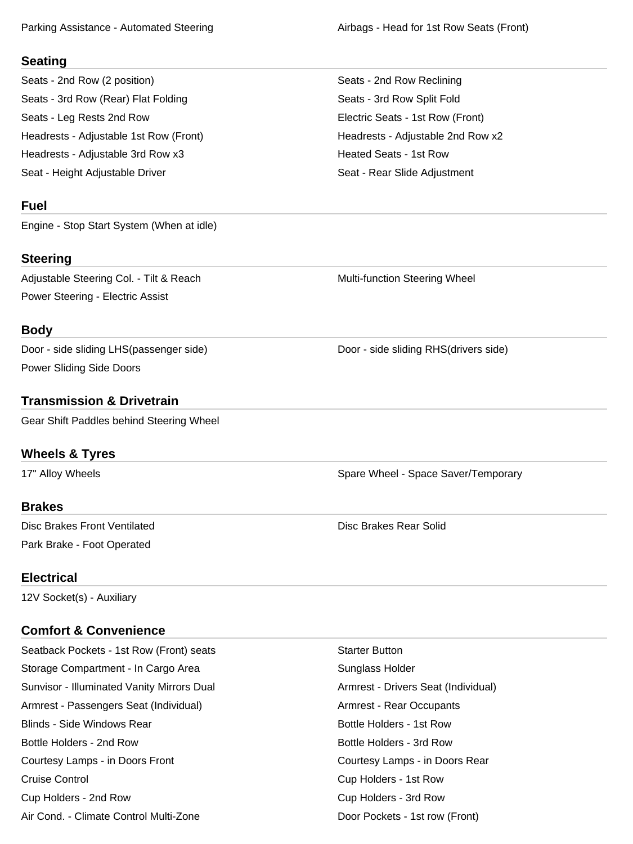Parking Assistance - Automated Steering And Michael Airbags - Head for 1st Row Seats (Front)

#### **Seating**

Seats - 2nd Row (2 position) Seats - 2nd Row Reclining Seats - 3rd Row (Rear) Flat Folding Seats - 3rd Row Split Fold Seats - Leg Rests 2nd Row **Electric Seats - 1st Row (Front)** Headrests - Adjustable 1st Row (Front) The Meadrests - Adjustable 2nd Row x2 Headrests - Adjustable 3rd Row x3 Heated Seats - 1st Row Seat - Height Adjustable Driver Seat - Rear Slide Adjustment

# **Fuel**

Engine - Stop Start System (When at idle)

# **Steering**

Adjustable Steering Col. - Tilt & Reach Multi-function Steering Wheel Power Steering - Electric Assist

## **Body**

Door - side sliding LHS(passenger side) Door - side sliding RHS(drivers side) Power Sliding Side Doors

# **Transmission & Drivetrain**

Gear Shift Paddles behind Steering Wheel

# **Wheels & Tyres**

17" Alloy Wheels Spare Wheel - Space Saver/Temporary Spare Wheel - Space Saver/Temporary

#### **Brakes**

Disc Brakes Front Ventilated Disc Brakes Rear Solid Park Brake - Foot Operated

# **Electrical**

12V Socket(s) - Auxiliary

# **Comfort & Convenience**

Seatback Pockets - 1st Row (Front) seats Starter Button Starter Button Storage Compartment - In Cargo Area Sunglass Holder Sunvisor - Illuminated Vanity Mirrors Dual **Armic Armic Armic Armic Seat (Individual)** Armic Seat (Individual) Armrest - Passengers Seat (Individual) Armrest - Rear Occupants Blinds - Side Windows Rear **Bottle Holders - 1st Row** Bottle Holders - 1st Row Bottle Holders - 2nd Row **Bottle Holders - 3rd Row** Bottle Holders - 3rd Row Courtesy Lamps - in Doors Front Courtesy Lamps - in Doors Rear Cruise Control Cup Holders - 1st Row Cup Holders - 2nd Row Cup Holders - 3rd Row Air Cond. - Climate Control Multi-Zone **Door Pockets - 1st row (Front)**